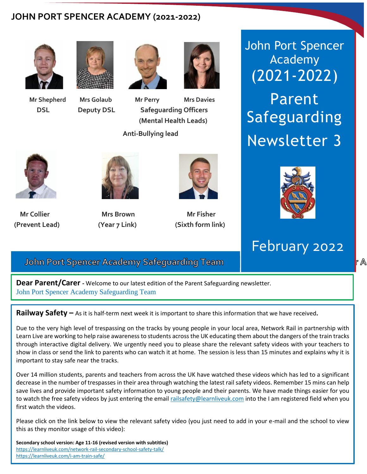## **JOHN PORT SPENCER ACADEMY (2021-2022)**









 **Mr Shepherd Mrs Golaub Mr Perry Mrs Davies DSL Deputy DSL Safeguarding Officers (Mental Health Leads)** 

 **Anti-Bullying lead**



 Newsletter 3 John Port Spencer Academy (2021-2022) Parent Safeguarding



**Mr Collier Construction Source Action Mr Solution Society Action** Mr Pisher **(Prevent Lead)** (Year 7 Link)



**Mr Collier Mrs** Brown Mrs Brown Mr Fisher



**(Sixth form link)** 



 **Lee Shepherd Carolyn Golaub Wayne Perry Viki Davies DSL Deputy DSL Safeguarding Officers** 

 **(Prevent Lead) (Anti-Bullying Lead) (Sixth form lead)** 

 **(Prevent Lead) (Sixth form lead)** 

r A

### **(ext 1404) (ext 1257) (ext 1405)**  February 2022

**John Port Spencer Academy Safeguarding Team** 

**Dear Parent/Carer -** Welcome to our latest edition of the Parent Safeguarding newsletter. John Port Spencer Academy Safeguarding Team

**Railway Safety –** As it is half-term next week it is important to share this information that we have received**.**

Due to the very high level of trespassing on the tracks by young people in your local area, Network Rail in partnership with Learn Live are working to help raise awareness to students across the UK educating them about the dangers of the train tracks through interactive digital delivery. We urgently need you to please share the relevant safety videos with your teachers to show in class or send the link to parents who can watch it at home. The session is less than 15 minutes and explains why it is important to stay safe near the tracks.

Over 14 million students, parents and teachers from across the UK have watched these videos which has led to a significant decrease in the number of trespasses in their area through watching the latest rail safety videos. Remember 15 mins can help save lives and provide important safety information to young people and their parents. We have made things easier for you to watch the free safety videos by just entering the emai[l railsafety@learnliveuk.com](mailto:railsafety@learnliveuk.com) into the I am registered field when you first watch the videos.

Please click on the link below to view the relevant safety video (you just need to add in your e-mail and the school to view this as they monitor usage of this video):

**Secondary school version: Age 11-16 (revised version with subtitles)** <https://learnliveuk.com/network-rail-secondary-school-safety-talk/> <https://learnliveuk.com/i-am-train-safe/>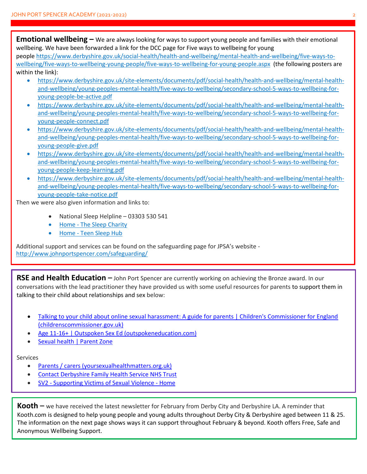**Emotional wellbeing –** We are always looking for ways to support young people and families with their emotional wellbeing. We have been forwarded a link for the DCC page for Five ways to wellbeing for young people [https://www.derbyshire.gov.uk/social-health/health-and-wellbeing/mental-health-and-wellbeing/five-ways-to](https://www.derbyshire.gov.uk/social-health/health-and-wellbeing/mental-health-and-wellbeing/five-ways-to-wellbeing/five-ways-to-wellbeing-young-people/five-ways-to-wellbeing-for-young-people.aspx)[wellbeing/five-ways-to-wellbeing-young-people/five-ways-to-wellbeing-for-young-people.aspx](https://www.derbyshire.gov.uk/social-health/health-and-wellbeing/mental-health-and-wellbeing/five-ways-to-wellbeing/five-ways-to-wellbeing-young-people/five-ways-to-wellbeing-for-young-people.aspx) (the following posters are within the link):

- [https://www.derbyshire.gov.uk/site-elements/documents/pdf/social-health/health-and-wellbeing/mental-health](https://www.derbyshire.gov.uk/site-elements/documents/pdf/social-health/health-and-wellbeing/mental-health-and-wellbeing/young-peoples-mental-health/five-ways-to-wellbeing/secondary-school-5-ways-to-wellbeing-for-young-people-be-active.pdf)[and-wellbeing/young-peoples-mental-health/five-ways-to-wellbeing/secondary-school-5-ways-to-wellbeing-for](https://www.derbyshire.gov.uk/site-elements/documents/pdf/social-health/health-and-wellbeing/mental-health-and-wellbeing/young-peoples-mental-health/five-ways-to-wellbeing/secondary-school-5-ways-to-wellbeing-for-young-people-be-active.pdf)[young-people-be-active.pdf](https://www.derbyshire.gov.uk/site-elements/documents/pdf/social-health/health-and-wellbeing/mental-health-and-wellbeing/young-peoples-mental-health/five-ways-to-wellbeing/secondary-school-5-ways-to-wellbeing-for-young-people-be-active.pdf)
- [https://www.derbyshire.gov.uk/site-elements/documents/pdf/social-health/health-and-wellbeing/mental-health](https://www.derbyshire.gov.uk/site-elements/documents/pdf/social-health/health-and-wellbeing/mental-health-and-wellbeing/young-peoples-mental-health/five-ways-to-wellbeing/secondary-school-5-ways-to-wellbeing-for-young-people-connect.pdf)[and-wellbeing/young-peoples-mental-health/five-ways-to-wellbeing/secondary-school-5-ways-to-wellbeing-for](https://www.derbyshire.gov.uk/site-elements/documents/pdf/social-health/health-and-wellbeing/mental-health-and-wellbeing/young-peoples-mental-health/five-ways-to-wellbeing/secondary-school-5-ways-to-wellbeing-for-young-people-connect.pdf)[young-people-connect.pdf](https://www.derbyshire.gov.uk/site-elements/documents/pdf/social-health/health-and-wellbeing/mental-health-and-wellbeing/young-peoples-mental-health/five-ways-to-wellbeing/secondary-school-5-ways-to-wellbeing-for-young-people-connect.pdf)
- [https://www.derbyshire.gov.uk/site-elements/documents/pdf/social-health/health-and-wellbeing/mental-health](https://www.derbyshire.gov.uk/site-elements/documents/pdf/social-health/health-and-wellbeing/mental-health-and-wellbeing/young-peoples-mental-health/five-ways-to-wellbeing/secondary-school-5-ways-to-wellbeing-for-young-people-give.pdf)[and-wellbeing/young-peoples-mental-health/five-ways-to-wellbeing/secondary-school-5-ways-to-wellbeing-for](https://www.derbyshire.gov.uk/site-elements/documents/pdf/social-health/health-and-wellbeing/mental-health-and-wellbeing/young-peoples-mental-health/five-ways-to-wellbeing/secondary-school-5-ways-to-wellbeing-for-young-people-give.pdf)[young-people-give.pdf](https://www.derbyshire.gov.uk/site-elements/documents/pdf/social-health/health-and-wellbeing/mental-health-and-wellbeing/young-peoples-mental-health/five-ways-to-wellbeing/secondary-school-5-ways-to-wellbeing-for-young-people-give.pdf)
- [https://www.derbyshire.gov.uk/site-elements/documents/pdf/social-health/health-and-wellbeing/mental-health](https://www.derbyshire.gov.uk/site-elements/documents/pdf/social-health/health-and-wellbeing/mental-health-and-wellbeing/young-peoples-mental-health/five-ways-to-wellbeing/secondary-school-5-ways-to-wellbeing-for-young-people-keep-learning.pdf)[and-wellbeing/young-peoples-mental-health/five-ways-to-wellbeing/secondary-school-5-ways-to-wellbeing-for](https://www.derbyshire.gov.uk/site-elements/documents/pdf/social-health/health-and-wellbeing/mental-health-and-wellbeing/young-peoples-mental-health/five-ways-to-wellbeing/secondary-school-5-ways-to-wellbeing-for-young-people-keep-learning.pdf)[young-people-keep-learning.pdf](https://www.derbyshire.gov.uk/site-elements/documents/pdf/social-health/health-and-wellbeing/mental-health-and-wellbeing/young-peoples-mental-health/five-ways-to-wellbeing/secondary-school-5-ways-to-wellbeing-for-young-people-keep-learning.pdf)
- [https://www.derbyshire.gov.uk/site-elements/documents/pdf/social-health/health-and-wellbeing/mental-health](https://www.derbyshire.gov.uk/site-elements/documents/pdf/social-health/health-and-wellbeing/mental-health-and-wellbeing/young-peoples-mental-health/five-ways-to-wellbeing/secondary-school-5-ways-to-wellbeing-for-young-people-take-notice.pdf)[and-wellbeing/young-peoples-mental-health/five-ways-to-wellbeing/secondary-school-5-ways-to-wellbeing-for](https://www.derbyshire.gov.uk/site-elements/documents/pdf/social-health/health-and-wellbeing/mental-health-and-wellbeing/young-peoples-mental-health/five-ways-to-wellbeing/secondary-school-5-ways-to-wellbeing-for-young-people-take-notice.pdf)[young-people-take-notice.pdf](https://www.derbyshire.gov.uk/site-elements/documents/pdf/social-health/health-and-wellbeing/mental-health-and-wellbeing/young-peoples-mental-health/five-ways-to-wellbeing/secondary-school-5-ways-to-wellbeing-for-young-people-take-notice.pdf)

Then we were also given information and links to:

- National Sleep Helpline 03303 530 541
- Home [The Sleep Charity](https://thesleepcharity.org.uk/)
- Home [Teen Sleep Hub](https://teensleephub.org.uk/)

Additional support and services can be found on the safeguarding page for JPSA's website <http://www.johnportspencer.com/safeguarding/>

**RSE and Health Education –** John Port Spencer are currently working on achieving the Bronze award. In our conversations with the lead practitioner they have provided us with some useful resources for parents to support them in talking to their child about relationships and sex below:

- Talking to your child about online sexual harassment: A guide for parents | Children's Commissioner for England [\(childrenscommissioner.gov.uk\)](https://www.childrenscommissioner.gov.uk/report/talking-to-your-child-about-online-sexual-harassment-a-guide-for-parents/)
- [Age 11-16+ | Outspoken Sex Ed \(outspokeneducation.com\)](https://www.outspokeneducation.com/ages-11-to-16)
- [Sexual health | Parent Zone](https://parentzone.org.uk/article/sexual-health)

#### Services

- [Parents / carers \(yoursexualhealthmatters.org.uk\)](https://www.yoursexualhealthmatters.org.uk/further-sexual-health-support/parents)
- [Contact Derbyshire Family Health Service NHS](https://derbyshirefamilyhealthservice.nhs.uk/contact-us) Trust
- SV2 [Supporting Victims of Sexual Violence -](https://www.sv2.org.uk/) Home

**Kooth –** we have received the latest newsletter for February from Derby City and Derbyshire LA. A reminder that [Kooth.com](http://kooth.com/) is designed to help young people and young adults throughout Derby City & Derbyshire aged between 11 & 25. The information on the next page shows ways it can support throughout February & beyond. Kooth offers Free, Safe and Anonymous Wellbeing Support.